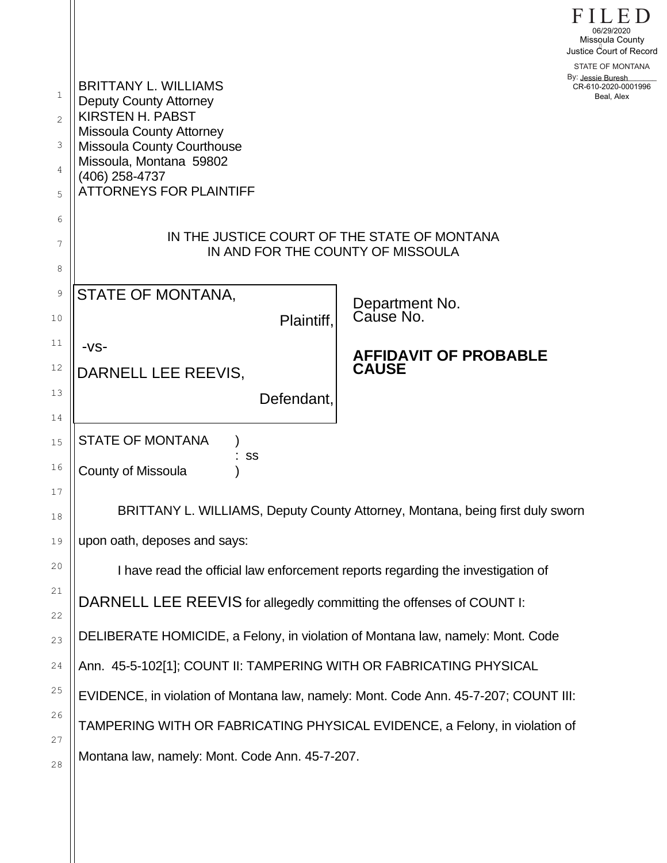| $\mathbf 1$<br>$\overline{2}$<br>3<br>4<br>5<br>6 | <b>BRITTANY L. WILLIAMS</b><br><b>Deputy County Attorney</b><br><b>KIRSTEN H. PABST</b><br><b>Missoula County Attorney</b><br>Missoula County Courthouse<br>Missoula, Montana 59802<br>(406) 258-4737<br><b>ATTORNEYS FOR PLAINTIFF</b> |                                              | 06/29/2020<br>Missoula County<br>Justice Court of Record<br>STATE OF MONTANA<br>By: Jessie Buresh<br>CR-610-2020-0001996<br>Beal, Alex |
|---------------------------------------------------|-----------------------------------------------------------------------------------------------------------------------------------------------------------------------------------------------------------------------------------------|----------------------------------------------|----------------------------------------------------------------------------------------------------------------------------------------|
| 7<br>8                                            | IN THE JUSTICE COURT OF THE STATE OF MONTANA<br>IN AND FOR THE COUNTY OF MISSOULA                                                                                                                                                       |                                              |                                                                                                                                        |
| 9<br>10                                           | STATE OF MONTANA,<br>Plaintiff.                                                                                                                                                                                                         | Department No.<br>Cause No.                  |                                                                                                                                        |
| 11<br>12<br>13                                    | $-VS-$<br>DARNELL LEE REEVIS,<br>Defendant,                                                                                                                                                                                             | <b>AFFIDAVIT OF PROBABLE</b><br><b>CAUSE</b> |                                                                                                                                        |
| 14<br>15<br>16                                    | <b>STATE OF MONTANA</b><br>: SS<br>County of Missoula                                                                                                                                                                                   |                                              |                                                                                                                                        |
| 17<br>18<br>19                                    | BRITTANY L. WILLIAMS, Deputy County Attorney, Montana, being first duly sworn<br>upon oath, deposes and says:                                                                                                                           |                                              |                                                                                                                                        |
| 20<br>21                                          | I have read the official law enforcement reports regarding the investigation of<br>DARNELL LEE REEVIS for allegedly committing the offenses of COUNT I:                                                                                 |                                              |                                                                                                                                        |
| 22<br>23                                          | DELIBERATE HOMICIDE, a Felony, in violation of Montana law, namely: Mont. Code                                                                                                                                                          |                                              |                                                                                                                                        |
| 24<br>25                                          | Ann. 45-5-102[1]; COUNT II: TAMPERING WITH OR FABRICATING PHYSICAL<br>EVIDENCE, in violation of Montana law, namely: Mont. Code Ann. 45-7-207; COUNT III:                                                                               |                                              |                                                                                                                                        |
| 26<br>27                                          | TAMPERING WITH OR FABRICATING PHYSICAL EVIDENCE, a Felony, in violation of                                                                                                                                                              |                                              |                                                                                                                                        |
| 28                                                | Montana law, namely: Mont. Code Ann. 45-7-207.                                                                                                                                                                                          |                                              |                                                                                                                                        |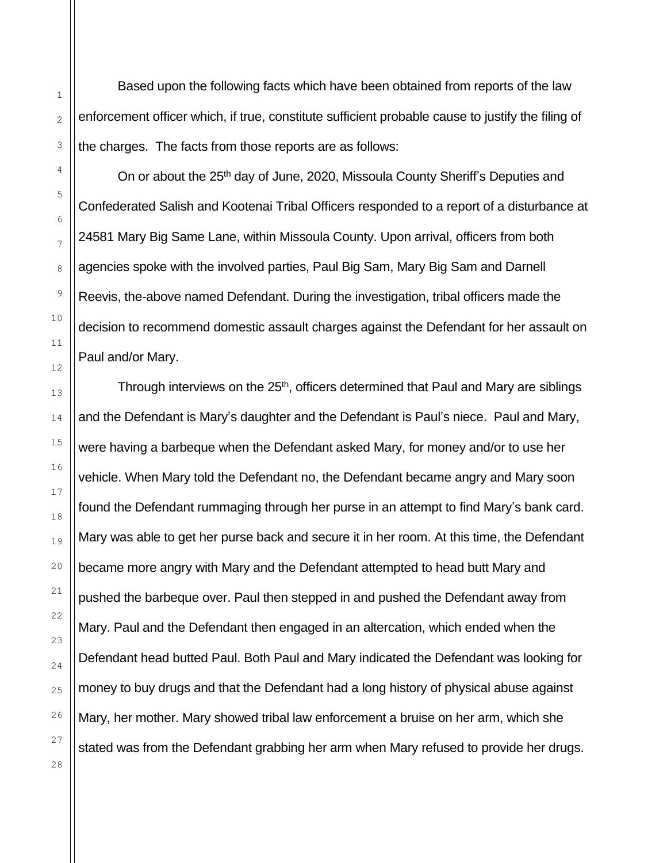Based upon the following facts which have been obtained from reports of the law enforcement officer which, if true, constitute sufficient probable cause to justify the filing of the charges. The facts from those reports are as follows:

On or about the 25<sup>th</sup> day of June, 2020, Missoula County Sheriff's Deputies and Confederated Salish and Kootenai Tribal Officers responded to a report of a disturbance at 24581 Mary Big Same Lane, within Missoula County. Upon arrival, officers from both agencies spoke with the involved parties, Paul Big Sam, Mary Big Sam and Darnell Reevis, the-above named Defendant. During the investigation, tribal officers made the decision to recommend domestic assault charges against the Defendant for her assault on Paul and/or Mary.

Through interviews on the 25<sup>th</sup>, officers determined that Paul and Mary are siblings and the Defendant is Mary's daughter and the Defendant is Paul's niece. Paul and Mary, were having a barbeque when the Defendant asked Mary, for money and/or to use her vehicle. When Mary told the Defendant no, the Defendant became angry and Mary soon found the Defendant rummaging through her purse in an attempt to find Mary's bank card. Mary was able to get her purse back and secure it in her room. At this time, the Defendant became more angry with Mary and the Defendant attempted to head butt Mary and pushed the barbeque over. Paul then stepped in and pushed the Defendant away from Mary. Paul and the Defendant then engaged in an altercation, which ended when the Defendant head butted Paul. Both Paul and Mary indicated the Defendant was looking for money to buy drugs and that the Defendant had a long history of physical abuse against Mary, her mother. Mary showed tribal law enforcement a bruise on her arm, which she stated was from the Defendant grabbing her arm when Mary refused to provide her drugs.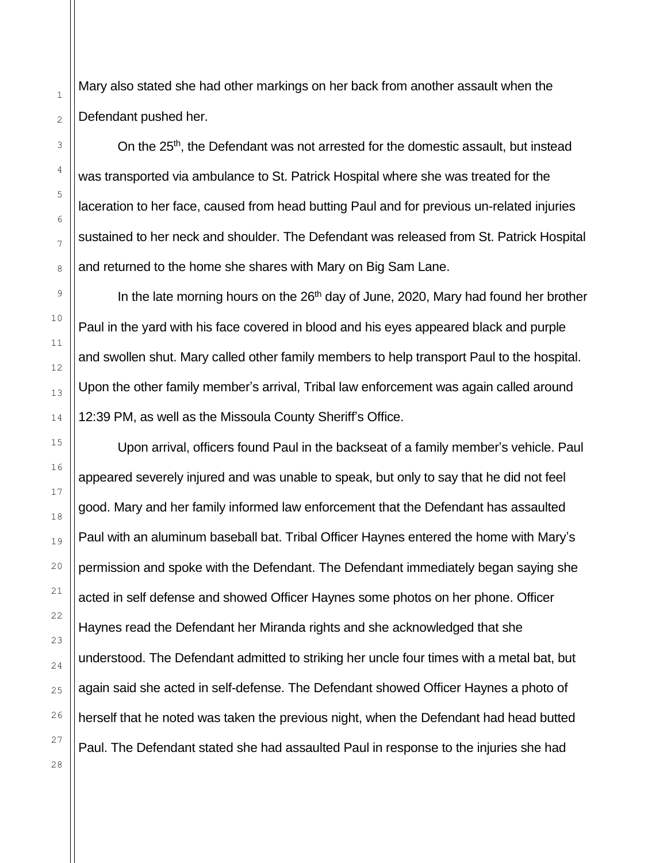Mary also stated she had other markings on her back from another assault when the Defendant pushed her.

On the 25<sup>th</sup>, the Defendant was not arrested for the domestic assault, but instead was transported via ambulance to St. Patrick Hospital where she was treated for the laceration to her face, caused from head butting Paul and for previous un-related injuries sustained to her neck and shoulder. The Defendant was released from St. Patrick Hospital and returned to the home she shares with Mary on Big Sam Lane.

In the late morning hours on the 26<sup>th</sup> day of June, 2020, Mary had found her brother Paul in the yard with his face covered in blood and his eyes appeared black and purple and swollen shut. Mary called other family members to help transport Paul to the hospital. Upon the other family member's arrival, Tribal law enforcement was again called around 12:39 PM, as well as the Missoula County Sheriff's Office.

Upon arrival, officers found Paul in the backseat of a family member's vehicle. Paul appeared severely injured and was unable to speak, but only to say that he did not feel good. Mary and her family informed law enforcement that the Defendant has assaulted Paul with an aluminum baseball bat. Tribal Officer Haynes entered the home with Mary's permission and spoke with the Defendant. The Defendant immediately began saying she acted in self defense and showed Officer Haynes some photos on her phone. Officer Haynes read the Defendant her Miranda rights and she acknowledged that she understood. The Defendant admitted to striking her uncle four times with a metal bat, but again said she acted in self-defense. The Defendant showed Officer Haynes a photo of herself that he noted was taken the previous night, when the Defendant had head butted Paul. The Defendant stated she had assaulted Paul in response to the injuries she had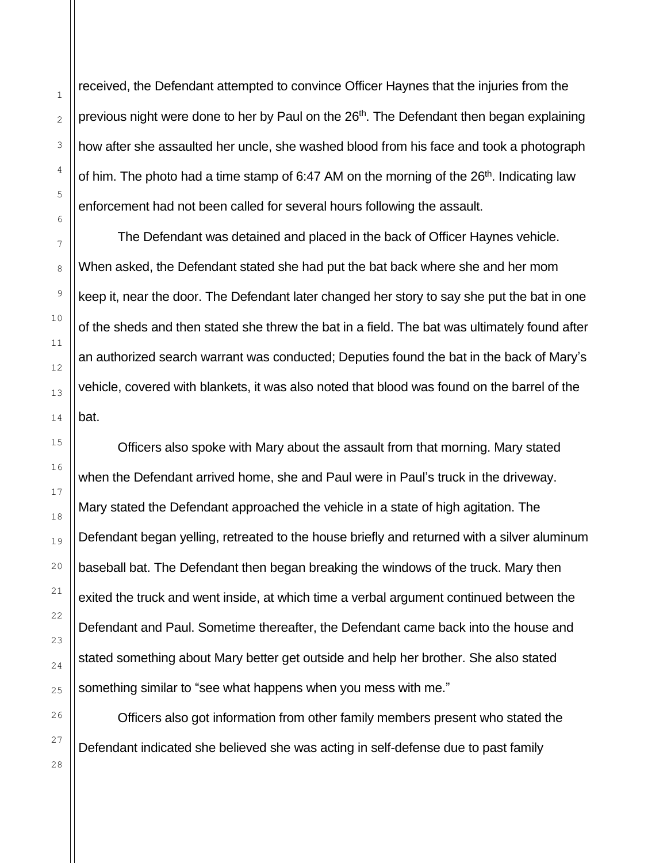received, the Defendant attempted to convince Officer Haynes that the injuries from the previous night were done to her by Paul on the 26<sup>th</sup>. The Defendant then began explaining how after she assaulted her uncle, she washed blood from his face and took a photograph of him. The photo had a time stamp of 6:47 AM on the morning of the  $26<sup>th</sup>$ . Indicating law enforcement had not been called for several hours following the assault.

The Defendant was detained and placed in the back of Officer Haynes vehicle. When asked, the Defendant stated she had put the bat back where she and her mom keep it, near the door. The Defendant later changed her story to say she put the bat in one of the sheds and then stated she threw the bat in a field. The bat was ultimately found after an authorized search warrant was conducted; Deputies found the bat in the back of Mary's vehicle, covered with blankets, it was also noted that blood was found on the barrel of the bat.

Officers also spoke with Mary about the assault from that morning. Mary stated when the Defendant arrived home, she and Paul were in Paul's truck in the driveway. Mary stated the Defendant approached the vehicle in a state of high agitation. The Defendant began yelling, retreated to the house briefly and returned with a silver aluminum baseball bat. The Defendant then began breaking the windows of the truck. Mary then exited the truck and went inside, at which time a verbal argument continued between the Defendant and Paul. Sometime thereafter, the Defendant came back into the house and stated something about Mary better get outside and help her brother. She also stated something similar to "see what happens when you mess with me."

Officers also got information from other family members present who stated the Defendant indicated she believed she was acting in self-defense due to past family

1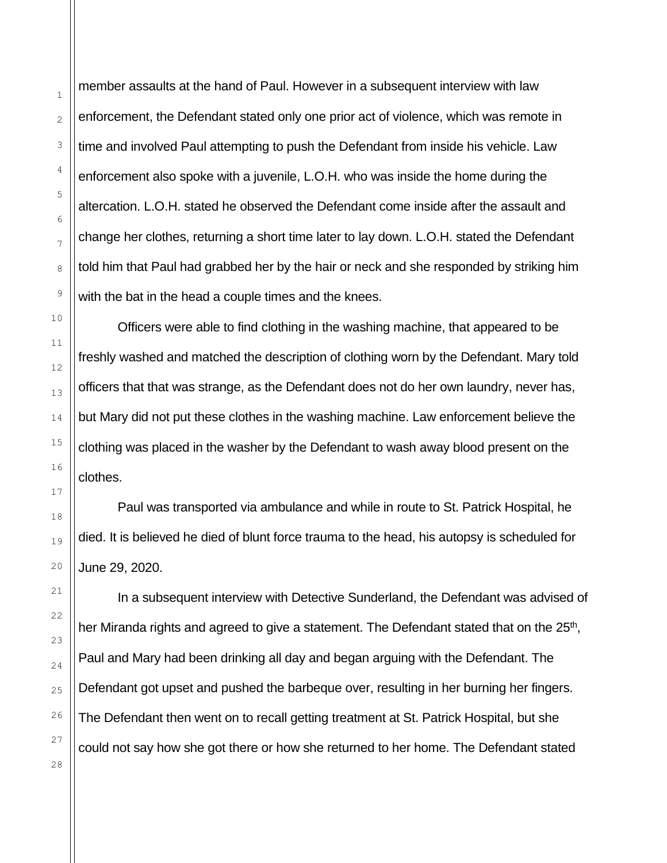member assaults at the hand of Paul. However in a subsequent interview with law enforcement, the Defendant stated only one prior act of violence, which was remote in time and involved Paul attempting to push the Defendant from inside his vehicle. Law enforcement also spoke with a juvenile, L.O.H. who was inside the home during the altercation. L.O.H. stated he observed the Defendant come inside after the assault and change her clothes, returning a short time later to lay down. L.O.H. stated the Defendant told him that Paul had grabbed her by the hair or neck and she responded by striking him with the bat in the head a couple times and the knees.

Officers were able to find clothing in the washing machine, that appeared to be freshly washed and matched the description of clothing worn by the Defendant. Mary told officers that that was strange, as the Defendant does not do her own laundry, never has, but Mary did not put these clothes in the washing machine. Law enforcement believe the clothing was placed in the washer by the Defendant to wash away blood present on the clothes.

Paul was transported via ambulance and while in route to St. Patrick Hospital, he died. It is believed he died of blunt force trauma to the head, his autopsy is scheduled for June 29, 2020.

In a subsequent interview with Detective Sunderland, the Defendant was advised of her Miranda rights and agreed to give a statement. The Defendant stated that on the 25<sup>th</sup>, Paul and Mary had been drinking all day and began arguing with the Defendant. The Defendant got upset and pushed the barbeque over, resulting in her burning her fingers. The Defendant then went on to recall getting treatment at St. Patrick Hospital, but she could not say how she got there or how she returned to her home. The Defendant stated

1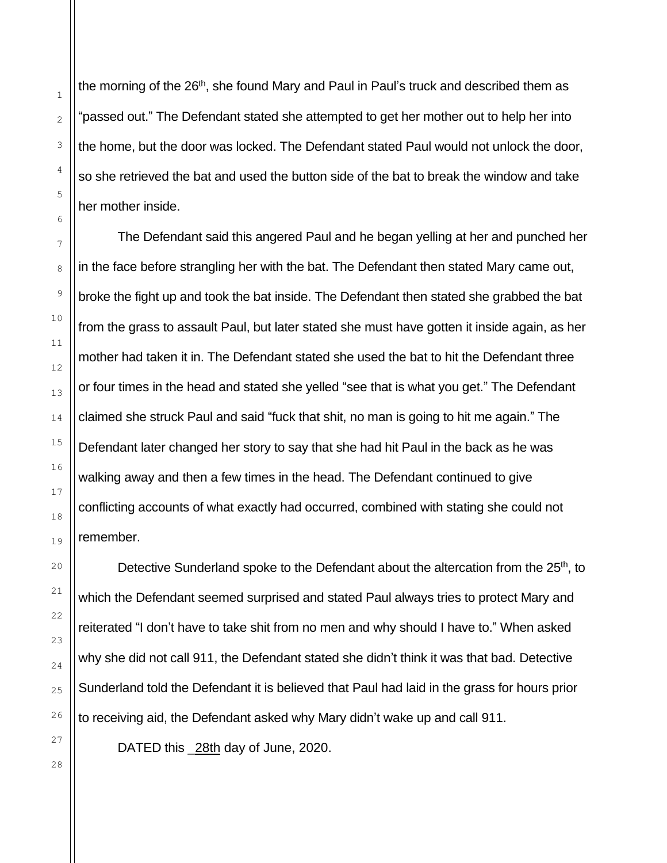the morning of the 26<sup>th</sup>, she found Mary and Paul in Paul's truck and described them as "passed out." The Defendant stated she attempted to get her mother out to help her into the home, but the door was locked. The Defendant stated Paul would not unlock the door, so she retrieved the bat and used the button side of the bat to break the window and take her mother inside.

The Defendant said this angered Paul and he began yelling at her and punched her in the face before strangling her with the bat. The Defendant then stated Mary came out, broke the fight up and took the bat inside. The Defendant then stated she grabbed the bat from the grass to assault Paul, but later stated she must have gotten it inside again, as her mother had taken it in. The Defendant stated she used the bat to hit the Defendant three or four times in the head and stated she yelled "see that is what you get." The Defendant claimed she struck Paul and said "fuck that shit, no man is going to hit me again." The Defendant later changed her story to say that she had hit Paul in the back as he was walking away and then a few times in the head. The Defendant continued to give conflicting accounts of what exactly had occurred, combined with stating she could not remember.

Detective Sunderland spoke to the Defendant about the altercation from the 25<sup>th</sup>, to which the Defendant seemed surprised and stated Paul always tries to protect Mary and reiterated "I don't have to take shit from no men and why should I have to." When asked why she did not call 911, the Defendant stated she didn't think it was that bad. Detective Sunderland told the Defendant it is believed that Paul had laid in the grass for hours prior to receiving aid, the Defendant asked why Mary didn't wake up and call 911.

DATED this 28th day of June, 2020.

28

1

2

3

4

5

6

7

8

9

10

11

12

13

14

15

16

17

18

19

20

21

22

23

24

25

26

27